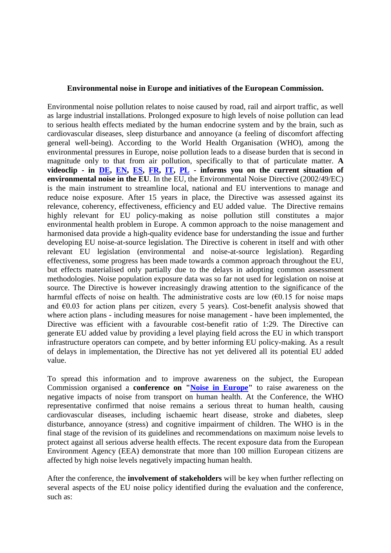## **Environmental noise in Europe and initiatives of the European Commission.**

Environmental noise pollution relates to noise caused by road, rail and airport traffic, as well as large industrial installations. Prolonged exposure to high levels of noise pollution can lead to serious health effects mediated by the human endocrine system and by the brain, such as cardiovascular diseases, sleep disturbance and annoyance (a feeling of discomfort affecting general well-being). According to the World Health Organisation (WHO), among the environmental pressures in Europe, noise pollution leads to a disease burden that is second in magnitude only to that from air pollution, specifically to that of particulate matter. **A videoclip - in [DE,](https://www.youtube.com/watch?v=fcgXDJTdyMw&list=PLIzqPSxpstTkeeQoYVSpDcq5PaomR_pY7&index=2) [EN,](https://www.youtube.com/watch?v=FAg_Z9O5E_4&list=PLIzqPSxpstTkeeQoYVSpDcq5PaomR_pY7&index=1) [ES,](https://www.youtube.com/watch?v=Mu3x7DpQ24U&list=PLIzqPSxpstTkeeQoYVSpDcq5PaomR_pY7&index=7) [FR,](https://www.youtube.com/watch?v=PaxahsNRSBM&index=6&list=PLIzqPSxpstTkeeQoYVSpDcq5PaomR_pY7) [IT,](https://www.youtube.com/watch?v=17NuW6%20NF9uE&list=PLIzqPSxpstTkeeQoYVSpDcq5PaomR_pY7&index=5) [PL](https://www.youtube.com/watch?v=g_UBKYVUya0&list=PLIzqPSxpstTkeeQoYVSpDcq5PaomR_pY7&index=3) - informs you on the current situation of environmental noise in the EU**. In the EU, the Environmental Noise Directive (2002/49/EC) is the main instrument to streamline local, national and EU interventions to manage and reduce noise exposure. After 15 years in place, the Directive was assessed against its relevance, coherency, effectiveness, efficiency and EU added value. The Directive remains highly relevant for EU policy-making as noise pollution still constitutes a major environmental health problem in Europe. A common approach to the noise management and harmonised data provide a high-quality evidence base for understanding the issue and further developing EU noise-at-source legislation. The Directive is coherent in itself and with other relevant EU legislation (environmental and noise-at-source legislation). Regarding effectiveness, some progress has been made towards a common approach throughout the EU, but effects materialised only partially due to the delays in adopting common assessment methodologies. Noise population exposure data was so far not used for legislation on noise at source. The Directive is however increasingly drawing attention to the significance of the harmful effects of noise on health. The administrative costs are low  $(60.15)$  for noise maps and €0.03 for action plans per citizen, every 5 years). Cost-benefit analysis showed that where action plans - including measures for noise management - have been implemented, the Directive was efficient with a favourable cost-benefit ratio of 1:29. The Directive can generate EU added value by providing a level playing field across the EU in which transport infrastructure operators can compete, and by better informing EU policy-making. As a result of delays in implementation, the Directive has not yet delivered all its potential EU added value.

To spread this information and to improve awareness on the subject, the European Commission organised a **conference on ["Noise in Europe"](https://ec.europa.eu/info/events/noise-europe-2017-apr-24_en)** to raise awareness on the negative impacts of noise from transport on human health. At the Conference, the WHO representative confirmed that noise remains a serious threat to human health, causing cardiovascular diseases, including ischaemic heart disease, stroke and diabetes, sleep disturbance, annoyance (stress) and cognitive impairment of children. The WHO is in the final stage of the revision of its guidelines and recommendations on maximum noise levels to protect against all serious adverse health effects. The recent exposure data from the European Environment Agency (EEA) demonstrate that more than 100 million European citizens are affected by high noise levels negatively impacting human health.

After the conference, the **involvement of stakeholders** will be key when further reflecting on several aspects of the EU noise policy identified during the evaluation and the conference, such as: